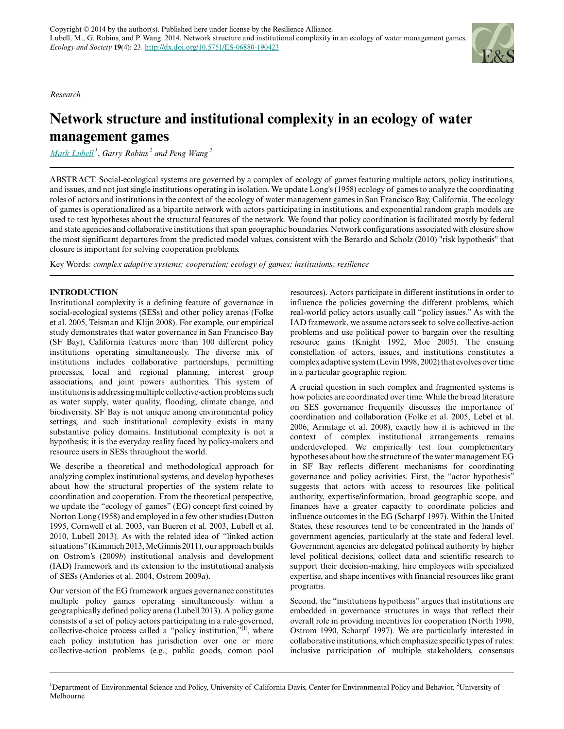*Research*



# **Network structure and institutional complexity in an ecology of water management games**

*[Mark Lubell](mailto:mnlubell@ucdavis.edu)<sup>1</sup>* , *Garry Robins<sup>2</sup> and Peng Wang<sup>2</sup>*

ABSTRACT. Social-ecological systems are governed by a complex of ecology of games featuring multiple actors, policy institutions, and issues, and not just single institutions operating in isolation. We update Long's (1958) ecology of games to analyze the coordinating roles of actors and institutions in the context of the ecology of water management games in San Francisco Bay, California. The ecology of games is operationalized as a bipartite network with actors participating in institutions, and exponential random graph models are used to test hypotheses about the structural features of the network. We found that policy coordination is facilitated mostly by federal and state agencies and collaborative institutions that span geographic boundaries. Network configurations associated with closure show the most significant departures from the predicted model values, consistent with the Berardo and Scholz (2010) "risk hypothesis" that closure is important for solving cooperation problems.

Key Words: *complex adaptive systems; cooperation; ecology of games; institutions; resilience*

# **INTRODUCTION**

Institutional complexity is a defining feature of governance in social-ecological systems (SESs) and other policy arenas (Folke et al. 2005, Teisman and Klijn 2008). For example, our empirical study demonstrates that water governance in San Francisco Bay (SF Bay), California features more than 100 different policy institutions operating simultaneously. The diverse mix of institutions includes collaborative partnerships, permitting processes, local and regional planning, interest group associations, and joint powers authorities. This system of institutions is addressing multiple collective-action problems such as water supply, water quality, flooding, climate change, and biodiversity. SF Bay is not unique among environmental policy settings, and such institutional complexity exists in many substantive policy domains. Institutional complexity is not a hypothesis; it is the everyday reality faced by policy-makers and resource users in SESs throughout the world.

We describe a theoretical and methodological approach for analyzing complex institutional systems, and develop hypotheses about how the structural properties of the system relate to coordination and cooperation. From the theoretical perspective, we update the "ecology of games" (EG) concept first coined by Norton Long (1958) and employed in a few other studies (Dutton 1995, Cornwell et al. 2003, van Bueren et al. 2003, Lubell et al. 2010, Lubell 2013). As with the related idea of "linked action situations" (Kimmich 2013, McGinnis 2011), our approach builds on Ostrom's (2009*b*) institutional analysis and development (IAD) framework and its extension to the institutional analysis of SESs (Anderies et al. 2004, Ostrom 2009*a*).

Our version of the EG framework argues governance constitutes multiple policy games operating simultaneously within a geographically defined policy arena (Lubell 2013). A policy game consists of a set of policy actors participating in a rule-governed, collective-choice process called a "policy institution,"[1], where each policy institution has jurisdiction over one or more collective-action problems (e.g., public goods, comon pool resources). Actors participate in different institutions in order to influence the policies governing the different problems, which real-world policy actors usually call "policy issues." As with the IAD framework, we assume actors seek to solve collective-action problems and use political power to bargain over the resulting resource gains (Knight 1992, Moe 2005). The ensuing constellation of actors, issues, and institutions constitutes a complex adaptive system (Levin 1998, 2002) that evolves over time in a particular geographic region.

A crucial question in such complex and fragmented systems is how policies are coordinated over time. While the broad literature on SES governance frequently discusses the importance of coordination and collaboration (Folke et al. 2005, Lebel et al. 2006, Armitage et al. 2008), exactly how it is achieved in the context of complex institutional arrangements remains underdeveloped. We empirically test four complementary hypotheses about how the structure of the water management EG in SF Bay reflects different mechanisms for coordinating governance and policy activities. First, the "actor hypothesis" suggests that actors with access to resources like political authority, expertise/information, broad geographic scope, and finances have a greater capacity to coordinate policies and influence outcomes in the EG (Scharpf 1997). Within the United States, these resources tend to be concentrated in the hands of government agencies, particularly at the state and federal level. Government agencies are delegated political authority by higher level political decisions, collect data and scientific research to support their decision-making, hire employees with specialized expertise, and shape incentives with financial resources like grant programs.

Second, the "institutions hypothesis" argues that institutions are embedded in governance structures in ways that reflect their overall role in providing incentives for cooperation (North 1990, Ostrom 1990, Scharpf 1997). We are particularly interested in collaborative institutions, which emphasize specific types of rules: inclusive participation of multiple stakeholders, consensus

<sup>&</sup>lt;sup>1</sup>Department of Environmental Science and Policy, University of California Davis, Center for Environmental Policy and Behavior, <sup>2</sup>University of Melbourne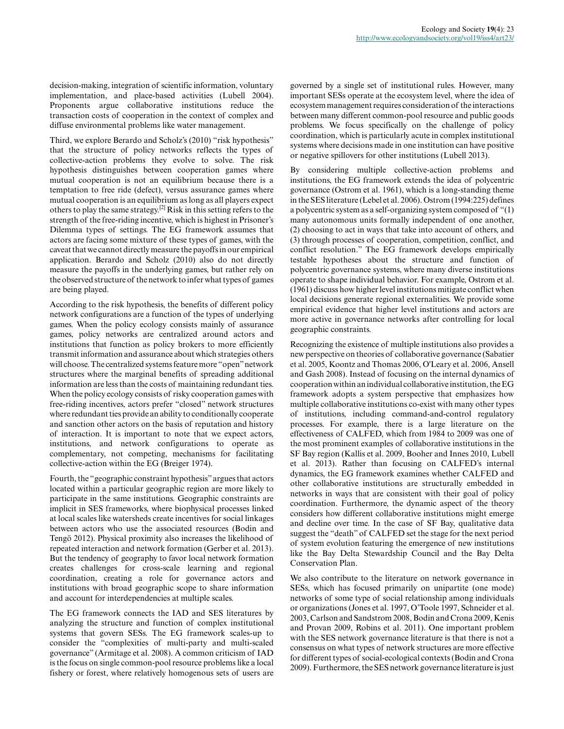decision-making, integration of scientific information, voluntary implementation, and place-based activities (Lubell 2004). Proponents argue collaborative institutions reduce the transaction costs of cooperation in the context of complex and diffuse environmental problems like water management.

Third, we explore Berardo and Scholz's (2010) "risk hypothesis" that the structure of policy networks reflects the types of collective-action problems they evolve to solve. The risk hypothesis distinguishes between cooperation games where mutual cooperation is not an equilibrium because there is a temptation to free ride (defect), versus assurance games where mutual cooperation is an equilibrium as long as all players expect others to play the same strategy.[2] Risk in this setting refers to the strength of the free-riding incentive, which is highest in Prisoner's Dilemma types of settings. The EG framework assumes that actors are facing some mixture of these types of games, with the caveat that we cannot directly measure the payoffs in our empirical application. Berardo and Scholz (2010) also do not directly measure the payoffs in the underlying games, but rather rely on the observed structure of the network to infer what types of games are being played.

According to the risk hypothesis, the benefits of different policy network configurations are a function of the types of underlying games. When the policy ecology consists mainly of assurance games, policy networks are centralized around actors and institutions that function as policy brokers to more efficiently transmit information and assurance about which strategies others will choose. The centralized systems feature more "open" network structures where the marginal benefits of spreading additional information are less than the costs of maintaining redundant ties. When the policy ecology consists of risky cooperation games with free-riding incentives, actors prefer "closed" network structures where redundant ties provide an ability to conditionally cooperate and sanction other actors on the basis of reputation and history of interaction. It is important to note that we expect actors, institutions, and network configurations to operate as complementary, not competing, mechanisms for facilitating collective-action within the EG (Breiger 1974).

Fourth, the "geographic constraint hypothesis" argues that actors located within a particular geographic region are more likely to participate in the same institutions. Geographic constraints are implicit in SES frameworks, where biophysical processes linked at local scales like watersheds create incentives for social linkages between actors who use the associated resources (Bodin and Tengö 2012). Physical proximity also increases the likelihood of repeated interaction and network formation (Gerber et al. 2013). But the tendency of geography to favor local network formation creates challenges for cross-scale learning and regional coordination, creating a role for governance actors and institutions with broad geographic scope to share information and account for interdependencies at multiple scales.

The EG framework connects the IAD and SES literatures by analyzing the structure and function of complex institutional systems that govern SESs. The EG framework scales-up to consider the "complexities of multi-party and multi-scaled governance" (Armitage et al. 2008). A common criticism of IAD is the focus on single common-pool resource problems like a local fishery or forest, where relatively homogenous sets of users are governed by a single set of institutional rules. However, many important SESs operate at the ecosystem level, where the idea of ecosystem management requires consideration of the interactions between many different common-pool resource and public goods problems. We focus specifically on the challenge of policy coordination, which is particularly acute in complex institutional systems where decisions made in one institution can have positive or negative spillovers for other institutions (Lubell 2013).

By considering multiple collective-action problems and institutions, the EG framework extends the idea of polycentric governance (Ostrom et al. 1961), which is a long-standing theme in the SES literature (Lebel et al. 2006). Ostrom (1994:225) defines a polycentric system as a self-organizing system composed of "(1) many autonomous units formally independent of one another, (2) choosing to act in ways that take into account of others, and (3) through processes of cooperation, competition, conflict, and conflict resolution." The EG framework develops empirically testable hypotheses about the structure and function of polycentric governance systems, where many diverse institutions operate to shape individual behavior. For example, Ostrom et al. (1961) discuss how higher level institutions mitigate conflict when local decisions generate regional externalities. We provide some empirical evidence that higher level institutions and actors are more active in governance networks after controlling for local geographic constraints.

Recognizing the existence of multiple institutions also provides a new perspective on theories of collaborative governance (Sabatier et al. 2005, Koontz and Thomas 2006, O'Leary et al. 2006, Ansell and Gash 2008). Instead of focusing on the internal dynamics of cooperation within an individual collaborative institution, the EG framework adopts a system perspective that emphasizes how multiple collaborative institutions co-exist with many other types of institutions, including command-and-control regulatory processes. For example, there is a large literature on the effectiveness of CALFED, which from 1984 to 2009 was one of the most prominent examples of collaborative institutions in the SF Bay region (Kallis et al. 2009, Booher and Innes 2010, Lubell et al. 2013). Rather than focusing on CALFED's internal dynamics, the EG framework examines whether CALFED and other collaborative institutions are structurally embedded in networks in ways that are consistent with their goal of policy coordination. Furthermore, the dynamic aspect of the theory considers how different collaborative institutions might emerge and decline over time. In the case of SF Bay, qualitative data suggest the "death" of CALFED set the stage for the next period of system evolution featuring the emergence of new institutions like the Bay Delta Stewardship Council and the Bay Delta Conservation Plan.

We also contribute to the literature on network governance in SESs, which has focused primarily on unipartite (one mode) networks of some type of social relationship among individuals or organizations (Jones et al. 1997, O'Toole 1997, Schneider et al. 2003, Carlson and Sandstrom 2008, Bodin and Crona 2009, Kenis and Provan 2009, Robins et al. 2011). One important problem with the SES network governance literature is that there is not a consensus on what types of network structures are more effective for different types of social-ecological contexts (Bodin and Crona 2009). Furthermore, the SES network governance literature is just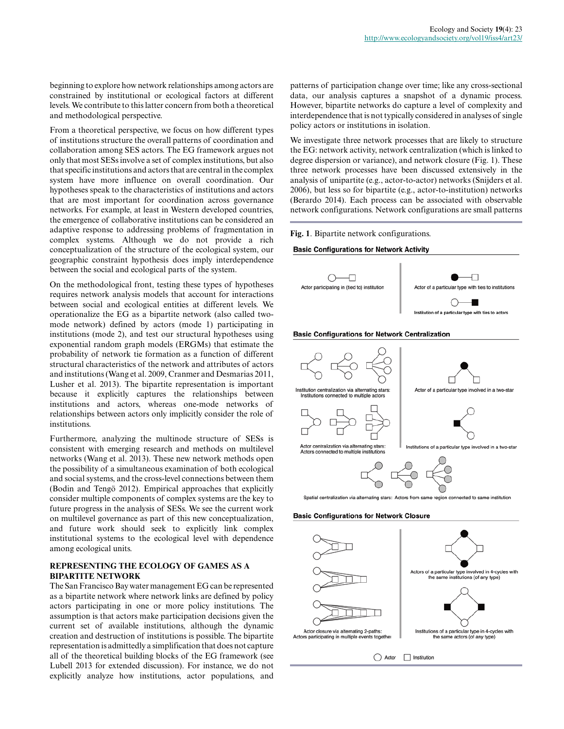beginning to explore how network relationships among actors are constrained by institutional or ecological factors at different levels. We contribute to this latter concern from both a theoretical and methodological perspective.

From a theoretical perspective, we focus on how different types of institutions structure the overall patterns of coordination and collaboration among SES actors. The EG framework argues not only that most SESs involve a set of complex institutions, but also that specific institutions and actors that are central in the complex system have more influence on overall coordination. Our hypotheses speak to the characteristics of institutions and actors that are most important for coordination across governance networks. For example, at least in Western developed countries, the emergence of collaborative institutions can be considered an adaptive response to addressing problems of fragmentation in complex systems. Although we do not provide a rich conceptualization of the structure of the ecological system, our geographic constraint hypothesis does imply interdependence between the social and ecological parts of the system.

On the methodological front, testing these types of hypotheses requires network analysis models that account for interactions between social and ecological entities at different levels. We operationalize the EG as a bipartite network (also called twomode network) defined by actors (mode 1) participating in institutions (mode 2), and test our structural hypotheses using exponential random graph models (ERGMs) that estimate the probability of network tie formation as a function of different structural characteristics of the network and attributes of actors and institutions (Wang et al. 2009, Cranmer and Desmarias 2011, Lusher et al. 2013). The bipartite representation is important because it explicitly captures the relationships between institutions and actors, whereas one-mode networks of relationships between actors only implicitly consider the role of institutions.

Furthermore, analyzing the multinode structure of SESs is consistent with emerging research and methods on multilevel networks (Wang et al. 2013). These new network methods open the possibility of a simultaneous examination of both ecological and social systems, and the cross-level connections between them (Bodin and Tengö 2012). Empirical approaches that explicitly consider multiple components of complex systems are the key to future progress in the analysis of SESs. We see the current work on multilevel governance as part of this new conceptualization, and future work should seek to explicitly link complex institutional systems to the ecological level with dependence among ecological units.

# **REPRESENTING THE ECOLOGY OF GAMES AS A BIPARTITE NETWORK**

The San Francisco Bay water management EG can be represented as a bipartite network where network links are defined by policy actors participating in one or more policy institutions. The assumption is that actors make participation decisions given the current set of available institutions, although the dynamic creation and destruction of institutions is possible. The bipartite representation is admittedly a simplification that does not capture all of the theoretical building blocks of the EG framework (see Lubell 2013 for extended discussion). For instance, we do not explicitly analyze how institutions, actor populations, and patterns of participation change over time; like any cross-sectional data, our analysis captures a snapshot of a dynamic process. However, bipartite networks do capture a level of complexity and interdependence that is not typically considered in analyses of single policy actors or institutions in isolation.

We investigate three network processes that are likely to structure the EG: network activity, network centralization (which is linked to degree dispersion or variance), and network closure (Fig. 1). These three network processes have been discussed extensively in the analysis of unipartite (e.g., actor-to-actor) networks (Snijders et al. 2006), but less so for bipartite (e.g., actor-to-institution) networks (Berardo 2014). Each process can be associated with observable network configurations. Network configurations are small patterns

# **Fig. 1**. Bipartite network configurations.

#### **Basic Configurations for Network Activity**



#### **Basic Configurations for Network Closure**

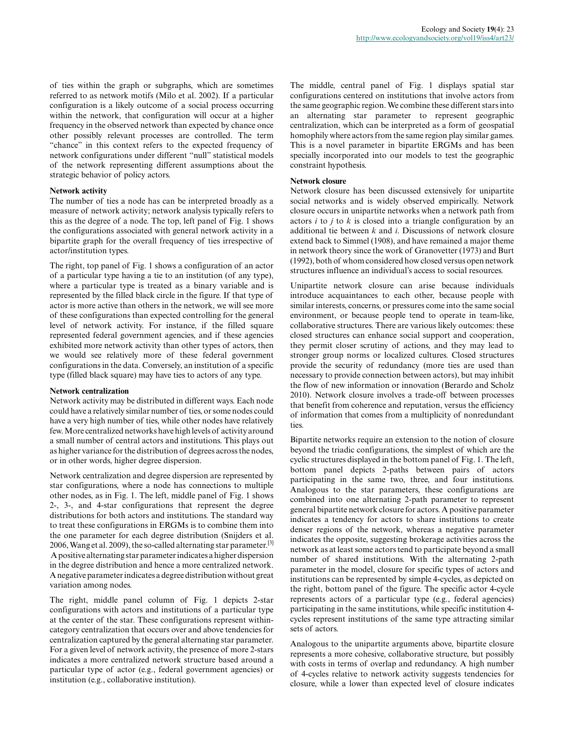of ties within the graph or subgraphs, which are sometimes referred to as network motifs (Milo et al. 2002). If a particular configuration is a likely outcome of a social process occurring within the network, that configuration will occur at a higher frequency in the observed network than expected by chance once other possibly relevant processes are controlled. The term "chance" in this context refers to the expected frequency of network configurations under different "null" statistical models of the network representing different assumptions about the strategic behavior of policy actors.

# **Network activity**

The number of ties a node has can be interpreted broadly as a measure of network activity; network analysis typically refers to this as the degree of a node. The top, left panel of Fig. 1 shows the configurations associated with general network activity in a bipartite graph for the overall frequency of ties irrespective of actor/institution types.

The right, top panel of Fig. 1 shows a configuration of an actor of a particular type having a tie to an institution (of any type), where a particular type is treated as a binary variable and is represented by the filled black circle in the figure. If that type of actor is more active than others in the network, we will see more of these configurations than expected controlling for the general level of network activity. For instance, if the filled square represented federal government agencies, and if these agencies exhibited more network activity than other types of actors, then we would see relatively more of these federal government configurations in the data. Conversely, an institution of a specific type (filled black square) may have ties to actors of any type.

# **Network centralization**

Network activity may be distributed in different ways. Each node could have a relatively similar number of ties, or some nodes could have a very high number of ties, while other nodes have relatively few. More centralized networks have high levels of activity around a small number of central actors and institutions. This plays out as higher variance for the distribution of degrees across the nodes, or in other words, higher degree dispersion.

Network centralization and degree dispersion are represented by star configurations, where a node has connections to multiple other nodes, as in Fig. 1. The left, middle panel of Fig. 1 shows 2-, 3-, and 4-star configurations that represent the degree distributions for both actors and institutions. The standard way to treat these configurations in ERGMs is to combine them into the one parameter for each degree distribution (Snijders et al. 2006, Wang et al. 2009), the so-called alternating star parameter.<sup>[3]</sup> A positive alternating star parameter indicates a higher dispersion in the degree distribution and hence a more centralized network. A negative parameter indicates a degree distribution without great variation among nodes.

The right, middle panel column of Fig. 1 depicts 2-star configurations with actors and institutions of a particular type at the center of the star. These configurations represent withincategory centralization that occurs over and above tendencies for centralization captured by the general alternating star parameter. For a given level of network activity, the presence of more 2-stars indicates a more centralized network structure based around a particular type of actor (e.g., federal government agencies) or institution (e.g., collaborative institution).

The middle, central panel of Fig. 1 displays spatial star configurations centered on institutions that involve actors from the same geographic region. We combine these different stars into an alternating star parameter to represent geographic centralization, which can be interpreted as a form of geospatial homophily where actors from the same region play similar games. This is a novel parameter in bipartite ERGMs and has been specially incorporated into our models to test the geographic constraint hypothesis.

# **Network closure**

Network closure has been discussed extensively for unipartite social networks and is widely observed empirically. Network closure occurs in unipartite networks when a network path from actors *i* to *j* to *k* is closed into a triangle configuration by an additional tie between *k* and *i*. Discussions of network closure extend back to Simmel (1908), and have remained a major theme in network theory since the work of Granovetter (1973) and Burt (1992), both of whom considered how closed versus open network structures influence an individual's access to social resources.

Unipartite network closure can arise because individuals introduce acquaintances to each other, because people with similar interests, concerns, or pressures come into the same social environment, or because people tend to operate in team-like, collaborative structures. There are various likely outcomes: these closed structures can enhance social support and cooperation, they permit closer scrutiny of actions, and they may lead to stronger group norms or localized cultures. Closed structures provide the security of redundancy (more ties are used than necessary to provide connection between actors), but may inhibit the flow of new information or innovation (Berardo and Scholz 2010). Network closure involves a trade-off between processes that benefit from coherence and reputation, versus the efficiency of information that comes from a multiplicity of nonredundant ties.

Bipartite networks require an extension to the notion of closure beyond the triadic configurations, the simplest of which are the cyclic structures displayed in the bottom panel of Fig. 1. The left, bottom panel depicts 2-paths between pairs of actors participating in the same two, three, and four institutions. Analogous to the star parameters, these configurations are combined into one alternating 2-path parameter to represent general bipartite network closure for actors. A positive parameter indicates a tendency for actors to share institutions to create denser regions of the network, whereas a negative parameter indicates the opposite, suggesting brokerage activities across the network as at least some actors tend to participate beyond a small number of shared institutions. With the alternating 2-path parameter in the model, closure for specific types of actors and institutions can be represented by simple 4-cycles, as depicted on the right, bottom panel of the figure. The specific actor 4-cycle represents actors of a particular type (e.g., federal agencies) participating in the same institutions, while specific institution 4 cycles represent institutions of the same type attracting similar sets of actors.

Analogous to the unipartite arguments above, bipartite closure represents a more cohesive, collaborative structure, but possibly with costs in terms of overlap and redundancy. A high number of 4-cycles relative to network activity suggests tendencies for closure, while a lower than expected level of closure indicates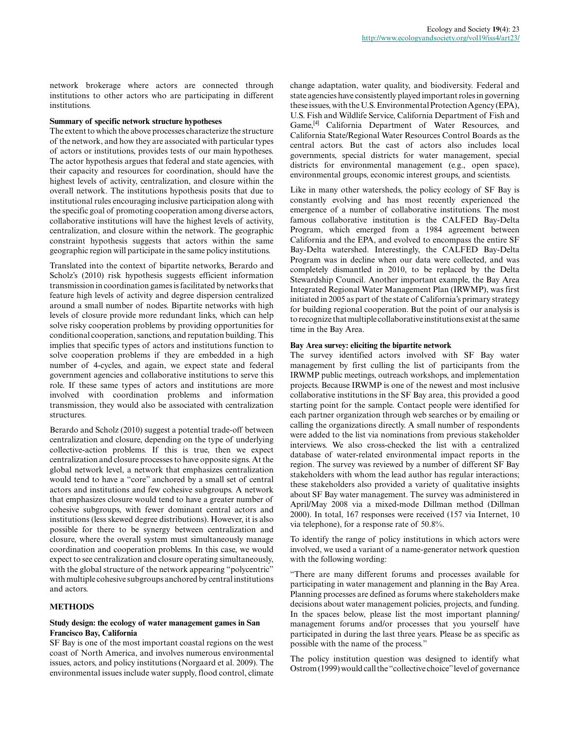network brokerage where actors are connected through institutions to other actors who are participating in different institutions.

# **Summary of specific network structure hypotheses**

The extent to which the above processes characterize the structure of the network, and how they are associated with particular types of actors or institutions, provides tests of our main hypotheses. The actor hypothesis argues that federal and state agencies, with their capacity and resources for coordination, should have the highest levels of activity, centralization, and closure within the overall network. The institutions hypothesis posits that due to institutional rules encouraging inclusive participation along with the specific goal of promoting cooperation among diverse actors, collaborative institutions will have the highest levels of activity, centralization, and closure within the network. The geographic constraint hypothesis suggests that actors within the same geographic region will participate in the same policy institutions.

Translated into the context of bipartite networks, Berardo and Scholz's (2010) risk hypothesis suggests efficient information transmission in coordination games is facilitated by networks that feature high levels of activity and degree dispersion centralized around a small number of nodes. Bipartite networks with high levels of closure provide more redundant links, which can help solve risky cooperation problems by providing opportunities for conditional cooperation, sanctions, and reputation building. This implies that specific types of actors and institutions function to solve cooperation problems if they are embedded in a high number of 4-cycles, and again, we expect state and federal government agencies and collaborative institutions to serve this role. If these same types of actors and institutions are more involved with coordination problems and information transmission, they would also be associated with centralization structures.

Berardo and Scholz (2010) suggest a potential trade-off between centralization and closure, depending on the type of underlying collective-action problems. If this is true, then we expect centralization and closure processes to have opposite signs. At the global network level, a network that emphasizes centralization would tend to have a "core" anchored by a small set of central actors and institutions and few cohesive subgroups. A network that emphasizes closure would tend to have a greater number of cohesive subgroups, with fewer dominant central actors and institutions (less skewed degree distributions). However, it is also possible for there to be synergy between centralization and closure, where the overall system must simultaneously manage coordination and cooperation problems. In this case, we would expect to see centralization and closure operating simultaneously, with the global structure of the network appearing "polycentric" with multiple cohesive subgroups anchored by central institutions and actors.

# **METHODS**

# **Study design: the ecology of water management games in San Francisco Bay, California**

SF Bay is one of the most important coastal regions on the west coast of North America, and involves numerous environmental issues, actors, and policy institutions (Norgaard et al. 2009). The environmental issues include water supply, flood control, climate change adaptation, water quality, and biodiversity. Federal and state agencies have consistently played important roles in governing these issues, with the U.S. Environmental Protection Agency (EPA), U.S. Fish and Wildlife Service, California Department of Fish and Game,[4] California Department of Water Resources, and California State/Regional Water Resources Control Boards as the central actors. But the cast of actors also includes local governments, special districts for water management, special districts for environmental management (e.g., open space), environmental groups, economic interest groups, and scientists.

Like in many other watersheds, the policy ecology of SF Bay is constantly evolving and has most recently experienced the emergence of a number of collaborative institutions. The most famous collaborative institution is the CALFED Bay-Delta Program, which emerged from a 1984 agreement between California and the EPA, and evolved to encompass the entire SF Bay-Delta watershed. Interestingly, the CALFED Bay-Delta Program was in decline when our data were collected, and was completely dismantled in 2010, to be replaced by the Delta Stewardship Council. Another important example, the Bay Area Integrated Regional Water Management Plan (IRWMP), was first initiated in 2005 as part of the state of California's primary strategy for building regional cooperation. But the point of our analysis is to recognize that multiple collaborative institutions exist at the same time in the Bay Area.

# **Bay Area survey: eliciting the bipartite network**

The survey identified actors involved with SF Bay water management by first culling the list of participants from the IRWMP public meetings, outreach workshops, and implementation projects. Because IRWMP is one of the newest and most inclusive collaborative institutions in the SF Bay area, this provided a good starting point for the sample. Contact people were identified for each partner organization through web searches or by emailing or calling the organizations directly. A small number of respondents were added to the list via nominations from previous stakeholder interviews. We also cross-checked the list with a centralized database of water-related environmental impact reports in the region. The survey was reviewed by a number of different SF Bay stakeholders with whom the lead author has regular interactions; these stakeholders also provided a variety of qualitative insights about SF Bay water management. The survey was administered in April/May 2008 via a mixed-mode Dillman method (Dillman 2000). In total, 167 responses were received (157 via Internet, 10 via telephone), for a response rate of 50.8%.

To identify the range of policy institutions in which actors were involved, we used a variant of a name-generator network question with the following wording:

"There are many different forums and processes available for participating in water management and planning in the Bay Area. Planning processes are defined as forums where stakeholders make decisions about water management policies, projects, and funding. In the spaces below, please list the most important planning/ management forums and/or processes that you yourself have participated in during the last three years. Please be as specific as possible with the name of the process."

The policy institution question was designed to identify what Ostrom (1999) would call the "collective choice" level of governance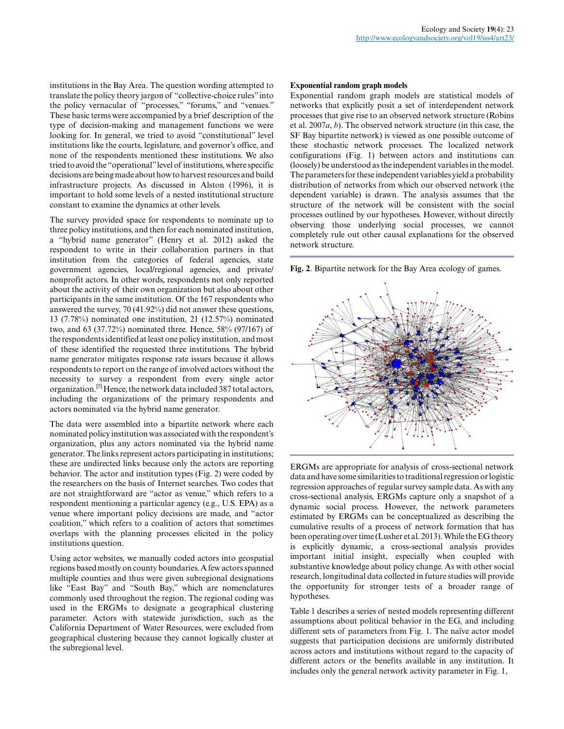institutions in the Bay Area. The question wording attempted to translate the policy theory jargon of "collective-choice rules" into the policy vernacular of "processes," "forums," and "venues." These basic terms were accompanied by a brief description of the type of decision-making and management functions we were looking for. In general, we tried to avoid "constitutional" level institutions like the courts, legislature, and governor's office, and none of the respondents mentioned these institutions. We also tried to avoid the "operational" level of institutions, where specific decisions are being made about how to harvest resources and build infrastructure projects. As discussed in Alston (1996), it is important to hold some levels of a nested institutional structure constant to examine the dynamics at other levels.

The survey provided space for respondents to nominate up to three policy institutions, and then for each nominated institution, a "hybrid name generator" (Henry et al. 2012) asked the respondent to write in their collaboration partners in that institution from the categories of federal agencies, state government agencies, local/regional agencies, and private/ nonprofit actors. In other words, respondents not only reported about the activity of their own organization but also about other participants in the same institution. Of the 167 respondents who answered the survey, 70 (41.92%) did not answer these questions, 13 (7.78%) nominated one institution, 21 (12.57%) nominated two, and 63 (37.72%) nominated three. Hence, 58% (97/167) of the respondents identified at least one policy institution, and most of these identified the requested three institutions. The hybrid name generator mitigates response rate issues because it allows respondents to report on the range of involved actors without the necessity to survey a respondent from every single actor organization.[5] Hence, the network data included 387 total actors, including the organizations of the primary respondents and actors nominated via the hybrid name generator.

The data were assembled into a bipartite network where each nominated policy institution was associated with the respondent's organization, plus any actors nominated via the hybrid name generator. The links represent actors participating in institutions; these are undirected links because only the actors are reporting behavior. The actor and institution types (Fig. 2) were coded by the researchers on the basis of Internet searches. Two codes that are not straightforward are "actor as venue," which refers to a respondent mentioning a particular agency (e.g., U.S. EPA) as a venue where important policy decisions are made, and "actor coalition," which refers to a coalition of actors that sometimes overlaps with the planning processes elicited in the policy institutions question.

Using actor websites, we manually coded actors into geospatial regions based mostly on county boundaries. A few actors spanned multiple counties and thus were given subregional designations like "East Bay" and "South Bay," which are nomenclatures commonly used throughout the region. The regional coding was used in the ERGMs to designate a geographical clustering parameter. Actors with statewide jurisdiction, such as the California Department of Water Resources, were excluded from geographical clustering because they cannot logically cluster at the subregional level.

# **Exponential random graph models**

Exponential random graph models are statistical models of networks that explicitly posit a set of interdependent network processes that give rise to an observed network structure (Robins et al. 2007*a*, *b*). The observed network structure (in this case, the SF Bay bipartite network) is viewed as one possible outcome of these stochastic network processes. The localized network configurations (Fig. 1) between actors and institutions can (loosely) be understood as the independent variables in the model. The parameters for these independent variables yield a probability distribution of networks from which our observed network (the dependent variable) is drawn. The analysis assumes that the structure of the network will be consistent with the social processes outlined by our hypotheses. However, without directly observing those underlying social processes, we cannot completely rule out other causal explanations for the observed network structure.



**Fig. 2**. Bipartite network for the Bay Area ecology of games.

ERGMs are appropriate for analysis of cross-sectional network data and have some similarities to traditional regression or logistic regression approaches of regular survey sample data. As with any cross-sectional analysis, ERGMs capture only a snapshot of a dynamic social process. However, the network parameters estimated by ERGMs can be conceptualized as describing the cumulative results of a process of network formation that has been operating over time (Lusher et al. 2013). While the EG theory is explicitly dynamic, a cross-sectional analysis provides important initial insight, especially when coupled with substantive knowledge about policy change. As with other social research, longitudinal data collected in future studies will provide the opportunity for stronger tests of a broader range of hypotheses.

Table 1 describes a series of nested models representing different assumptions about political behavior in the EG, and including different sets of parameters from Fig. 1. The naïve actor model suggests that participation decisions are uniformly distributed across actors and institutions without regard to the capacity of different actors or the benefits available in any institution. It includes only the general network activity parameter in Fig. 1,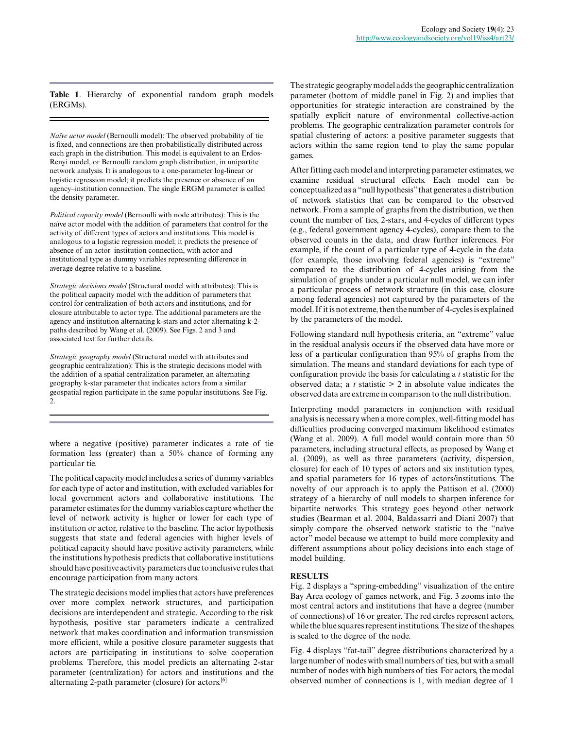**Table 1**. Hierarchy of exponential random graph models (ERGMs).

*Naïve actor model* (Bernoulli model): The observed probability of tie is fixed, and connections are then probabilistically distributed across each graph in the distribution. This model is equivalent to an Erdos-Renyi model, or Bernoulli random graph distribution, in unipartite network analysis. It is analogous to a one-parameter log-linear or logistic regression model; it predicts the presence or absence of an agency–institution connection. The single ERGM parameter is called the density parameter.

*Political capacity model* (Bernoulli with node attributes): This is the naïve actor model with the addition of parameters that control for the activity of different types of actors and institutions. This model is analogous to a logistic regression model; it predicts the presence of absence of an actor–institution connection, with actor and institutional type as dummy variables representing difference in average degree relative to a baseline.

*Strategic decisions model* (Structural model with attributes): This is the political capacity model with the addition of parameters that control for centralization of both actors and institutions, and for closure attributable to actor type. The additional parameters are the agency and institution alternating k-stars and actor alternating k-2 paths described by Wang et al. (2009). See Figs. 2 and 3 and associated text for further details.

*Strategic geography model* (Structural model with attributes and geographic centralization): This is the strategic decisions model with the addition of a spatial centralization parameter, an alternating geography k-star parameter that indicates actors from a similar geospatial region participate in the same popular institutions. See Fig.  $\mathcal{L}$ 

where a negative (positive) parameter indicates a rate of tie formation less (greater) than a 50% chance of forming any particular tie.

The political capacity model includes a series of dummy variables for each type of actor and institution, with excluded variables for local government actors and collaborative institutions. The parameter estimates for the dummy variables capture whether the level of network activity is higher or lower for each type of institution or actor, relative to the baseline. The actor hypothesis suggests that state and federal agencies with higher levels of political capacity should have positive activity parameters, while the institutions hypothesis predicts that collaborative institutions should have positive activity parameters due to inclusive rules that encourage participation from many actors.

The strategic decisions model implies that actors have preferences over more complex network structures, and participation decisions are interdependent and strategic. According to the risk hypothesis, positive star parameters indicate a centralized network that makes coordination and information transmission more efficient, while a positive closure parameter suggests that actors are participating in institutions to solve cooperation problems. Therefore, this model predicts an alternating 2-star parameter (centralization) for actors and institutions and the alternating 2-path parameter (closure) for actors.<sup>[6]</sup>

The strategic geography model adds the geographic centralization parameter (bottom of middle panel in Fig. 2) and implies that opportunities for strategic interaction are constrained by the spatially explicit nature of environmental collective-action problems. The geographic centralization parameter controls for spatial clustering of actors: a positive parameter suggests that actors within the same region tend to play the same popular games.

After fitting each model and interpreting parameter estimates, we examine residual structural effects. Each model can be conceptualized as a "null hypothesis" that generates a distribution of network statistics that can be compared to the observed network. From a sample of graphs from the distribution, we then count the number of ties, 2-stars, and 4-cycles of different types (e.g., federal government agency 4-cycles), compare them to the observed counts in the data, and draw further inferences. For example, if the count of a particular type of 4-cycle in the data (for example, those involving federal agencies) is "extreme" compared to the distribution of 4-cycles arising from the simulation of graphs under a particular null model, we can infer a particular process of network structure (in this case, closure among federal agencies) not captured by the parameters of the model. If it is not extreme, then the number of 4-cycles is explained by the parameters of the model.

Following standard null hypothesis criteria, an "extreme" value in the residual analysis occurs if the observed data have more or less of a particular configuration than 95% of graphs from the simulation. The means and standard deviations for each type of configuration provide the basis for calculating a *t* statistic for the observed data; a  $t$  statistic  $> 2$  in absolute value indicates the observed data are extreme in comparison to the null distribution.

Interpreting model parameters in conjunction with residual analysis is necessary when a more complex, well-fitting model has difficulties producing converged maximum likelihood estimates (Wang et al. 2009). A full model would contain more than 50 parameters, including structural effects, as proposed by Wang et al. (2009), as well as three parameters (activity, dispersion, closure) for each of 10 types of actors and six institution types, and spatial parameters for 16 types of actors/institutions. The novelty of our approach is to apply the Pattison et al. (2000) strategy of a hierarchy of null models to sharpen inference for bipartite networks. This strategy goes beyond other network studies (Bearman et al. 2004, Baldassarri and Diani 2007) that simply compare the observed network statistic to the "naïve actor" model because we attempt to build more complexity and different assumptions about policy decisions into each stage of model building.

# **RESULTS**

Fig. 2 displays a "spring-embedding" visualization of the entire Bay Area ecology of games network, and Fig. 3 zooms into the most central actors and institutions that have a degree (number of connections) of 16 or greater. The red circles represent actors, while the blue squares represent institutions. The size of the shapes is scaled to the degree of the node.

Fig. 4 displays "fat-tail" degree distributions characterized by a large number of nodes with small numbers of ties, but with a small number of nodes with high numbers of ties. For actors, the modal observed number of connections is 1, with median degree of 1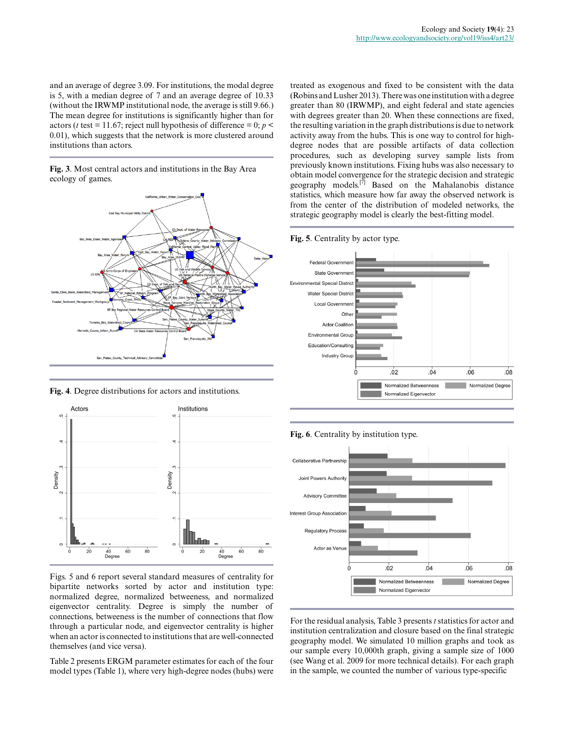and an average of degree 3.09. For institutions, the modal degree is 5, with a median degree of 7 and an average degree of 10.33 (without the IRWMP institutional node, the average is still 9.66.) The mean degree for institutions is significantly higher than for actors (*t* test = 11.67; reject null hypothesis of difference = 0;  $p$  < 0.01), which suggests that the network is more clustered around institutions than actors.

**Fig. 3**. Most central actors and institutions in the Bay Area ecology of games.



**Fig. 4**. Degree distributions for actors and institutions.



Figs. 5 and 6 report several standard measures of centrality for bipartite networks sorted by actor and institution type: normalized degree, normalized betweeness, and normalized eigenvector centrality. Degree is simply the number of connections, betweeness is the number of connections that flow through a particular node, and eigenvector centrality is higher when an actor is connected to institutions that are well-connected themselves (and vice versa).

Table 2 presents ERGM parameter estimates for each of the four model types (Table 1), where very high-degree nodes (hubs) were treated as exogenous and fixed to be consistent with the data (Robins and Lusher 2013). There was one institution with a degree greater than 80 (IRWMP), and eight federal and state agencies with degrees greater than 20. When these connections are fixed, the resulting variation in the graph distributions is due to network activity away from the hubs. This is one way to control for highdegree nodes that are possible artifacts of data collection procedures, such as developing survey sample lists from previously known institutions. Fixing hubs was also necessary to obtain model convergence for the strategic decision and strategic geography models.<sup>[7]</sup> Based on the Mahalanobis distance statistics, which measure how far away the observed network is from the center of the distribution of modeled networks, the strategic geography model is clearly the best-fitting model.









For the residual analysis, Table 3 presents *t* statistics for actor and institution centralization and closure based on the final strategic geography model. We simulated 10 million graphs and took as our sample every 10,000th graph, giving a sample size of 1000 (see Wang et al. 2009 for more technical details). For each graph in the sample, we counted the number of various type-specific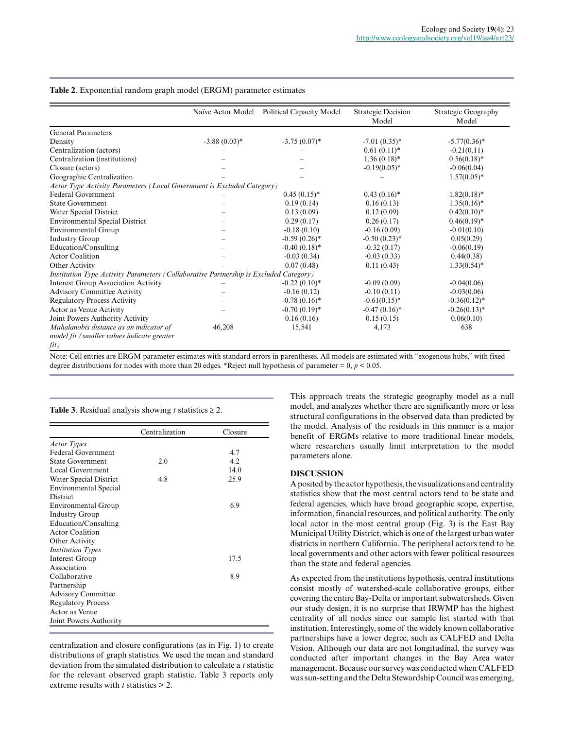|                                                                                       | Naïve Actor Model | Political Capacity Model | <b>Strategic Decision</b><br>Model | Strategic Geography<br>Model |  |  |
|---------------------------------------------------------------------------------------|-------------------|--------------------------|------------------------------------|------------------------------|--|--|
| <b>General Parameters</b>                                                             |                   |                          |                                    |                              |  |  |
| Density                                                                               | $-3.88(0.03)*$    | $-3.75(0.07)^*$          | $-7.01(0.35)*$                     | $-5.77(0.36)^*$              |  |  |
| Centralization (actors)                                                               |                   |                          | $0.61(0.11)^*$                     | $-0.21(0.11)$                |  |  |
| Centralization (institutions)                                                         |                   |                          | $1.36(0.18)$ *                     | $0.56(0.18)^*$               |  |  |
| Closure (actors)                                                                      |                   |                          | $-0.19(0.05)^*$                    | $-0.06(0.04)$                |  |  |
| Geographic Centralization                                                             |                   |                          |                                    | $1.57(0.05)^*$               |  |  |
| Actor Type Activity Parameters (Local Government is Excluded Category)                |                   |                          |                                    |                              |  |  |
| Federal Government                                                                    |                   | $0.45(0.15)^*$           | $0.43(0.16)$ *                     | $1.82(0.18)$ *               |  |  |
| <b>State Government</b>                                                               |                   | 0.19(0.14)               | 0.16(0.13)                         | $1.35(0.16)^*$               |  |  |
| Water Special District                                                                |                   | 0.13(0.09)               | 0.12(0.09)                         | $0.42(0.10)*$                |  |  |
| <b>Environmental Special District</b>                                                 |                   | 0.29(0.17)               | 0.26(0.17)                         | $0.46(0.19)^*$               |  |  |
| <b>Environmental Group</b>                                                            |                   | $-0.18(0.10)$            | $-0.16(0.09)$                      | $-0.01(0.10)$                |  |  |
| <b>Industry Group</b>                                                                 |                   | $-0.59(0.26)$ *          | $-0.50(0.23)$ *                    | 0.05(0.29)                   |  |  |
| Education/Consulting                                                                  |                   | $-0.40(0.18)$ *          | $-0.32(0.17)$                      | $-0.06(0.19)$                |  |  |
| <b>Actor Coalition</b>                                                                |                   | $-0.03(0.34)$            | $-0.03(0.33)$                      | 0.44(0.38)                   |  |  |
| Other Activity                                                                        |                   | 0.07(0.48)               | 0.11(0.43)                         | $1.33(0.54)^*$               |  |  |
| Institution Type Activity Parameters (Collaborative Partnership is Excluded Category) |                   |                          |                                    |                              |  |  |
| <b>Interest Group Association Activity</b>                                            |                   | $-0.22(0.10)^*$          | $-0.09(0.09)$                      | $-0.04(0.06)$                |  |  |
| <b>Advisory Committee Activity</b>                                                    |                   | $-0.16(0.12)$            | $-0.10(0.11)$                      | $-0.03(0.06)$                |  |  |
| <b>Regulatory Process Activity</b>                                                    |                   | $-0.78(0.16)^*$          | $-0.61(0.15)^*$                    | $-0.36(0.12)^*$              |  |  |
| Actor as Venue Activity                                                               |                   | $-0.70(0.19)$ *          | $-0.47(0.16)^*$                    | $-0.26(0.13)^*$              |  |  |
| Joint Powers Authority Activity                                                       |                   | 0.16(0.16)               | 0.15(0.15)                         | 0.06(0.10)                   |  |  |
| Mahalanobis distance as an indicator of                                               | 46,208            | 15,541                   | 4,173                              | 638                          |  |  |
| model fit (smaller values indicate greater                                            |                   |                          |                                    |                              |  |  |
| fit)                                                                                  |                   |                          |                                    |                              |  |  |

# **Table 2**. Exponential random graph model (ERGM) parameter estimates

Note: Cell entries are ERGM parameter estimates with standard errors in parentheses. All models are estimated with "exogenous hubs," with fixed degree distributions for nodes with more than 20 edges. \*Reject null hypothesis of parameter = 0, *p* < 0.05.

|                              | Centralization | Closure |
|------------------------------|----------------|---------|
| <b>Actor Types</b>           |                |         |
| <b>Federal Government</b>    |                | 4.7     |
| <b>State Government</b>      | 2.0            | 42      |
| Local Government             |                | 14.0    |
| Water Special District       | 4.8            | 25.9    |
| <b>Environmental Special</b> |                |         |
| District                     |                |         |
| <b>Environmental Group</b>   |                | 6.9     |
| <b>Industry Group</b>        |                |         |
| Education/Consulting         |                |         |
| <b>Actor Coalition</b>       |                |         |
| Other Activity               |                |         |
| <b>Institution Types</b>     |                |         |
| <b>Interest Group</b>        |                | 17.5    |
| Association                  |                |         |
| Collaborative                |                | 8.9     |
| Partnership                  |                |         |
| <b>Advisory Committee</b>    |                |         |
| <b>Regulatory Process</b>    |                |         |
| Actor as Venue               |                |         |
| Joint Powers Authority       |                |         |

**Table 3**. Residual analysis showing *t* statistics  $\geq 2$ .

centralization and closure configurations (as in Fig. 1) to create distributions of graph statistics. We used the mean and standard deviation from the simulated distribution to calculate a *t* statistic for the relevant observed graph statistic. Table 3 reports only extreme results with *t* statistics > 2.

This approach treats the strategic geography model as a null model, and analyzes whether there are significantly more or less structural configurations in the observed data than predicted by the model. Analysis of the residuals in this manner is a major benefit of ERGMs relative to more traditional linear models, where researchers usually limit interpretation to the model parameters alone.

# **DISCUSSION**

A posited by the actor hypothesis, the visualizations and centrality statistics show that the most central actors tend to be state and federal agencies, which have broad geographic scope, expertise, information, financial resources, and political authority. The only local actor in the most central group (Fig. 3) is the East Bay Municipal Utility District, which is one of the largest urban water districts in northern California. The peripheral actors tend to be local governments and other actors with fewer political resources than the state and federal agencies.

As expected from the institutions hypothesis, central institutions consist mostly of watershed-scale collaborative groups, either covering the entire Bay-Delta or important subwatersheds. Given our study design, it is no surprise that IRWMP has the highest centrality of all nodes since our sample list started with that institution. Interestingly, some of the widely known collaborative partnerships have a lower degree, such as CALFED and Delta Vision. Although our data are not longitudinal, the survey was conducted after important changes in the Bay Area water management. Because our survey was conducted when CALFED was sun-setting and the Delta Stewardship Council was emerging,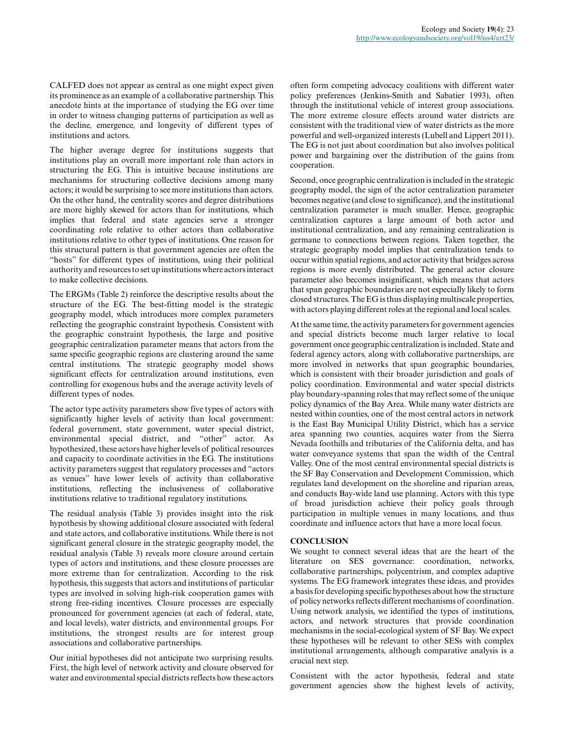CALFED does not appear as central as one might expect given its prominence as an example of a collaborative partnership. This anecdote hints at the importance of studying the EG over time in order to witness changing patterns of participation as well as the decline, emergence, and longevity of different types of institutions and actors.

The higher average degree for institutions suggests that institutions play an overall more important role than actors in structuring the EG. This is intuitive because institutions are mechanisms for structuring collective decisions among many actors; it would be surprising to see more institutions than actors. On the other hand, the centrality scores and degree distributions are more highly skewed for actors than for institutions, which implies that federal and state agencies serve a stronger coordinating role relative to other actors than collaborative institutions relative to other types of institutions. One reason for this structural pattern is that government agencies are often the "hosts" for different types of institutions, using their political authority and resources to set up institutions where actors interact to make collective decisions.

The ERGMs (Table 2) reinforce the descriptive results about the structure of the EG. The best-fitting model is the strategic geography model, which introduces more complex parameters reflecting the geographic constraint hypothesis. Consistent with the geographic constraint hypothesis, the large and positive geographic centralization parameter means that actors from the same specific geographic regions are clustering around the same central institutions. The strategic geography model shows significant effects for centralization around institutions, even controlling for exogenous hubs and the average activity levels of different types of nodes.

The actor type activity parameters show five types of actors with significantly higher levels of activity than local government: federal government, state government, water special district, environmental special district, and "other" actor. As hypothesized, these actors have higher levels of political resources and capacity to coordinate activities in the EG. The institutions activity parameters suggest that regulatory processes and "actors as venues" have lower levels of activity than collaborative institutions, reflecting the inclusiveness of collaborative institutions relative to traditional regulatory institutions.

The residual analysis (Table 3) provides insight into the risk hypothesis by showing additional closure associated with federal and state actors, and collaborative institutions. While there is not significant general closure in the strategic geography model, the residual analysis (Table 3) reveals more closure around certain types of actors and institutions, and these closure processes are more extreme than for centralization. According to the risk hypothesis, this suggests that actors and institutions of particular types are involved in solving high-risk cooperation games with strong free-riding incentives. Closure processes are especially pronounced for government agencies (at each of federal, state, and local levels), water districts, and environmental groups. For institutions, the strongest results are for interest group associations and collaborative partnerships.

Our initial hypotheses did not anticipate two surprising results. First, the high level of network activity and closure observed for water and environmental special districts reflects how these actors often form competing advocacy coalitions with different water policy preferences (Jenkins-Smith and Sabatier 1993), often through the institutional vehicle of interest group associations. The more extreme closure effects around water districts are consistent with the traditional view of water districts as the more powerful and well-organized interests (Lubell and Lippert 2011). The EG is not just about coordination but also involves political power and bargaining over the distribution of the gains from cooperation.

Second, once geographic centralization is included in the strategic geography model, the sign of the actor centralization parameter becomes negative (and close to significance), and the institutional centralization parameter is much smaller. Hence, geographic centralization captures a large amount of both actor and institutional centralization, and any remaining centralization is germane to connections between regions. Taken together, the strategic geography model implies that centralization tends to occur within spatial regions, and actor activity that bridges across regions is more evenly distributed. The general actor closure parameter also becomes insignificant, which means that actors that span geographic boundaries are not especially likely to form closed structures. The EG is thus displaying multiscale properties, with actors playing different roles at the regional and local scales.

At the same time, the activity parameters for government agencies and special districts become much larger relative to local government once geographic centralization is included. State and federal agency actors, along with collaborative partnerships, are more involved in networks that span geographic boundaries, which is consistent with their broader jurisdiction and goals of policy coordination. Environmental and water special districts play boundary-spanning roles that may reflect some of the unique policy dynamics of the Bay Area. While many water districts are nested within counties, one of the most central actors in network is the East Bay Municipal Utility District, which has a service area spanning two counties, acquires water from the Sierra Nevada foothills and tributaries of the California delta, and has water conveyance systems that span the width of the Central Valley. One of the most central environmental special districts is the SF Bay Conservation and Development Commission, which regulates land development on the shoreline and riparian areas, and conducts Bay-wide land use planning. Actors with this type of broad jurisdiction achieve their policy goals through participation in multiple venues in many locations, and thus coordinate and influence actors that have a more local focus.

# **CONCLUSION**

We sought to connect several ideas that are the heart of the literature on SES governance: coordination, networks, collaborative partnerships, polycentrism, and complex adaptive systems. The EG framework integrates these ideas, and provides a basis for developing specific hypotheses about how the structure of policy networks reflects different mechanisms of coordination. Using network analysis, we identified the types of institutions, actors, and network structures that provide coordination mechanisms in the social-ecological system of SF Bay. We expect these hypotheses will be relevant to other SESs with complex institutional arrangements, although comparative analysis is a crucial next step.

Consistent with the actor hypothesis, federal and state government agencies show the highest levels of activity,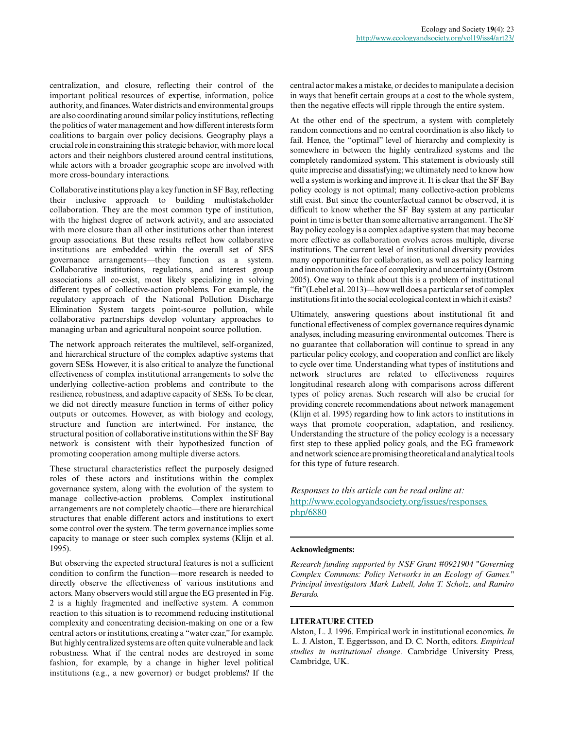centralization, and closure, reflecting their control of the important political resources of expertise, information, police authority, and finances. Water districts and environmental groups are also coordinating around similar policy institutions, reflecting the politics of water management and how different interests form coalitions to bargain over policy decisions. Geography plays a crucial role in constraining this strategic behavior, with more local actors and their neighbors clustered around central institutions, while actors with a broader geographic scope are involved with more cross-boundary interactions.

Collaborative institutions play a key function in SF Bay, reflecting their inclusive approach to building multistakeholder collaboration. They are the most common type of institution, with the highest degree of network activity, and are associated with more closure than all other institutions other than interest group associations. But these results reflect how collaborative institutions are embedded within the overall set of SES governance arrangements—they function as a system. Collaborative institutions, regulations, and interest group associations all co-exist, most likely specializing in solving different types of collective-action problems. For example, the regulatory approach of the National Pollution Discharge Elimination System targets point-source pollution, while collaborative partnerships develop voluntary approaches to managing urban and agricultural nonpoint source pollution.

The network approach reiterates the multilevel, self-organized, and hierarchical structure of the complex adaptive systems that govern SESs. However, it is also critical to analyze the functional effectiveness of complex institutional arrangements to solve the underlying collective-action problems and contribute to the resilience, robustness, and adaptive capacity of SESs. To be clear, we did not directly measure function in terms of either policy outputs or outcomes. However, as with biology and ecology, structure and function are intertwined. For instance, the structural position of collaborative institutions within the SF Bay network is consistent with their hypothesized function of promoting cooperation among multiple diverse actors.

These structural characteristics reflect the purposely designed roles of these actors and institutions within the complex governance system, along with the evolution of the system to manage collective-action problems. Complex institutional arrangements are not completely chaotic—there are hierarchical structures that enable different actors and institutions to exert some control over the system. The term governance implies some capacity to manage or steer such complex systems (Klijn et al. 1995).

But observing the expected structural features is not a sufficient condition to confirm the function—more research is needed to directly observe the effectiveness of various institutions and actors. Many observers would still argue the EG presented in Fig. 2 is a highly fragmented and ineffective system. A common reaction to this situation is to recommend reducing institutional complexity and concentrating decision-making on one or a few central actors or institutions, creating a "water czar," for example. But highly centralized systems are often quite vulnerable and lack robustness. What if the central nodes are destroyed in some fashion, for example, by a change in higher level political institutions (e.g., a new governor) or budget problems? If the

central actor makes a mistake, or decides to manipulate a decision in ways that benefit certain groups at a cost to the whole system, then the negative effects will ripple through the entire system.

At the other end of the spectrum, a system with completely random connections and no central coordination is also likely to fail. Hence, the "optimal" level of hierarchy and complexity is somewhere in between the highly centralized systems and the completely randomized system. This statement is obviously still quite imprecise and dissatisfying; we ultimately need to know how well a system is working and improve it. It is clear that the SF Bay policy ecology is not optimal; many collective-action problems still exist. But since the counterfactual cannot be observed, it is difficult to know whether the SF Bay system at any particular point in time is better than some alternative arrangement. The SF Bay policy ecology is a complex adaptive system that may become more effective as collaboration evolves across multiple, diverse institutions. The current level of institutional diversity provides many opportunities for collaboration, as well as policy learning and innovation in the face of complexity and uncertainty (Ostrom 2005). One way to think about this is a problem of institutional "fit"(Lebel et al. 2013)—how well does a particular set of complex institutions fit into the social ecological context in which it exists?

Ultimately, answering questions about institutional fit and functional effectiveness of complex governance requires dynamic analyses, including measuring environmental outcomes. There is no guarantee that collaboration will continue to spread in any particular policy ecology, and cooperation and conflict are likely to cycle over time. Understanding what types of institutions and network structures are related to effectiveness requires longitudinal research along with comparisons across different types of policy arenas. Such research will also be crucial for providing concrete recommendations about network management (Klijn et al. 1995) regarding how to link actors to institutions in ways that promote cooperation, adaptation, and resiliency. Understanding the structure of the policy ecology is a necessary first step to these applied policy goals, and the EG framework and network science are promising theoretical and analytical tools for this type of future research.

*Responses to this article can be read online at:* [http://www.ecologyandsociety.org/issues/responses.](http://www.ecologyandsociety.org/issues/responses.php/6880) [php/6880](http://www.ecologyandsociety.org/issues/responses.php/6880)

# **Acknowledgments:**

*Research funding supported by NSF Grant #0921904 "Governing Complex Commons: Policy Networks in an Ecology of Games." Principal investigators Mark Lubell, John T. Scholz, and Ramiro Berardo.*

# **LITERATURE CITED**

Alston, L. J. 1996. Empirical work in institutional economics. *In* L. J. Alston, T. Eggertsson, and D. C. North, editors. *Empirical studies in institutional change*. Cambridge University Press, Cambridge, UK.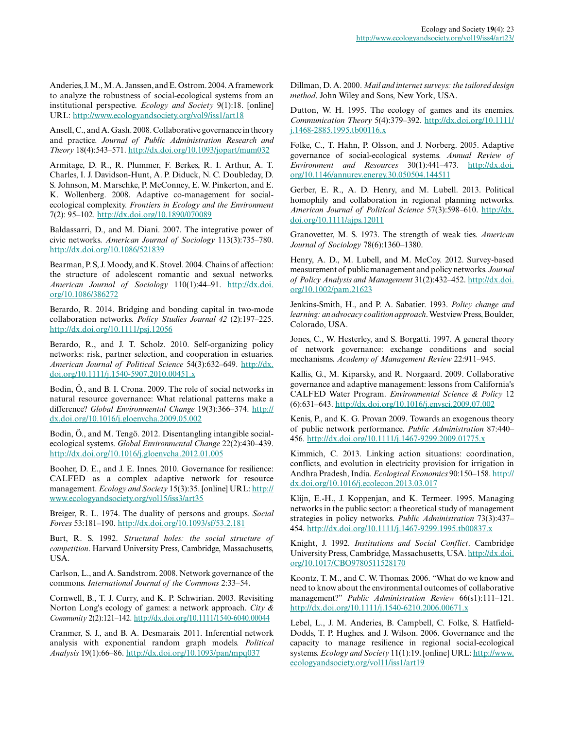Anderies, J. M., M. A. Janssen, and E. Ostrom. 2004. A framework to analyze the robustness of social-ecological systems from an institutional perspective. *Ecology and Society* 9(1):18. [online] URL:<http://www.ecologyandsociety.org/vol9/iss1/art18>

Ansell, C., and A. Gash. 2008. Collaborative governance in theory and practice. *Journal of Public Administration Research and Theory* 18(4):543–571. [http://dx.doi.org/10.1093/jopart/mum032](http://dx.doi.org/10.1093%2Fjopart%2Fmum032) 

Armitage, D. R., R. Plummer, F. Berkes, R. I. Arthur, A. T. Charles, I. J. Davidson-Hunt, A. P. Diduck, N. C. Doubleday, D. S. Johnson, M. Marschke, P. McConney, E. W. Pinkerton, and E. K. Wollenberg. 2008. Adaptive co-management for socialecological complexity. *Frontiers in Ecology and the Environment* 7(2): 95–102. [http://dx.doi.org/10.1890/070089](http://dx.doi.org/10.1890%2F070089) 

Baldassarri, D., and M. Diani. 2007. The integrative power of civic networks. *American Journal of Sociology* 113(3):735–780. [http://dx.doi.org/10.1086/521839](http://dx.doi.org/10.1086%2F521839)

Bearman, P. S. J. Moody, and K. Stovel. 2004. Chains of affection: the structure of adolescent romantic and sexual networks. *American Journal of Sociology* 110(1):44–91. [http://dx.doi.](http://dx.doi.org/10.1086%2F386272) [org/10.1086/386272](http://dx.doi.org/10.1086%2F386272)

Berardo, R. 2014. Bridging and bonding capital in two-mode collaboration networks. *Policy Studies Journal 42* (2):197–225. [http://dx.doi.org/10.1111/psj.12056](http://dx.doi.org/10.1111%2Fpsj.12056)

Berardo, R., and J. T. Scholz. 2010. Self-organizing policy networks: risk, partner selection, and cooperation in estuaries. *American Journal of Political Science* 54(3):632–649. [http://dx.](http://dx.doi.org/10.1111%2Fj.1540-5907.2010.00451.x) [doi.org/10.1111/j.1540-5907.2010.00451.x](http://dx.doi.org/10.1111%2Fj.1540-5907.2010.00451.x)

Bodin, Ö., and B. I. Crona. 2009. The role of social networks in natural resource governance: What relational patterns make a difference? *Global Environmental Change* 19(3):366–374. [http://](http://dx.doi.org/10.1016%2Fj.gloenvcha.2009.05.002) [dx.doi.org/10.1016/j.gloenvcha.2009.05.002](http://dx.doi.org/10.1016%2Fj.gloenvcha.2009.05.002) 

Bodin, Ö., and M. Tengö. 2012. Disentangling intangible socialecological systems. *Global Environmental Change* 22(2):430–439. [http://dx.doi.org/10.1016/j.gloenvcha.2012.01.005](http://dx.doi.org/10.1016%2Fj.gloenvcha.2012.01.005)

Booher, D. E., and J. E. Innes. 2010. Governance for resilience: CALFED as a complex adaptive network for resource management. *Ecology and Society* 15(3):35. [online] URL: [http://](http://www.ecologyandsociety.org/vol15/iss3/art35) [www.ecologyandsociety.org/vol15/iss3/art35](http://www.ecologyandsociety.org/vol15/iss3/art35) 

Breiger, R. L. 1974. The duality of persons and groups. *Social Forces* 53:181–190. [http://dx.doi.org/10.1093/sf/53.2.181](http://dx.doi.org/10.1093%2Fsf%2F53.2.181)

Burt, R. S. 1992. *Structural holes: the social structure of competition*. Harvard University Press, Cambridge, Massachusetts, USA.

Carlson, L., and A. Sandstrom. 2008. Network governance of the commons. *International Journal of the Commons* 2:33–54.

Cornwell, B., T. J. Curry, and K. P. Schwirian. 2003. Revisiting Norton Long's ecology of games: a network approach. *City & Community* 2(2):121–142. [http://dx.doi.org/10.1111/1540-6040.00044](http://dx.doi.org/10.1111%2F1540-6040.00044) 

Cranmer, S. J., and B. A. Desmarais. 2011. Inferential network analysis with exponential random graph models. *Political Analysis* 19(1):66–86. [http://dx.doi.org/10.1093/pan/mpq037](http://dx.doi.org/10.1093%2Fpan%2Fmpq037)

Dillman, D. A. 2000. *Mail and internet surveys: the tailored design method*. John Wiley and Sons, New York, USA.

Dutton, W. H. 1995. The ecology of games and its enemies. *Communication Theory* 5(4):379–392. [http://dx.doi.org/10.1111/](http://dx.doi.org/10.1111%2Fj.1468-2885.1995.tb00116.x) [j.1468-2885.1995.tb00116.x](http://dx.doi.org/10.1111%2Fj.1468-2885.1995.tb00116.x)

Folke, C., T. Hahn, P. Olsson, and J. Norberg. 2005. Adaptive governance of social-ecological systems. *Annual Review of Environment and Resources* 30(1):441–473. [http://dx.doi.](http://dx.doi.org/10.1146%2Fannurev.energy.30.050504.144511) [org/10.1146/annurev.energy.30.050504.144511](http://dx.doi.org/10.1146%2Fannurev.energy.30.050504.144511) 

Gerber, E. R., A. D. Henry, and M. Lubell. 2013. Political homophily and collaboration in regional planning networks. *American Journal of Political Science* 57(3):598–610. [http://dx.](http://dx.doi.org/10.1111%2Fajps.12011) [doi.org/10.1111/ajps.12011](http://dx.doi.org/10.1111%2Fajps.12011) 

Granovetter, M. S. 1973. The strength of weak ties. *American Journal of Sociology* 78(6):1360–1380.

Henry, A. D., M. Lubell, and M. McCoy. 2012. Survey-based measurement of public management and policy networks. *Journal of Policy Analysis and Management* 31(2):432–452. [http://dx.doi.](http://dx.doi.org/10.1002%2Fpam.21623) [org/10.1002/pam.21623](http://dx.doi.org/10.1002%2Fpam.21623)

Jenkins-Smith, H., and P. A. Sabatier. 1993. *Policy change and learning: an advocacy coalition approach*. Westview Press, Boulder, Colorado, USA.

Jones, C., W. Hesterley, and S. Borgatti. 1997. A general theory of network governance: exchange conditions and social mechanisms. *Academy of Management Review* 22:911–945.

Kallis, G., M. Kiparsky, and R. Norgaard. 2009. Collaborative governance and adaptive management: lessons from California's CALFED Water Program. *Environmental Science & Policy* 12 (6):631–643. [http://dx.doi.org/10.1016/j.envsci.2009.07.002](http://dx.doi.org/10.1016%2Fj.envsci.2009.07.002)

Kenis, P., and K. G. Provan 2009. Towards an exogenous theory of public network performance. *Public Administration* 87:440– 456. [http://dx.doi.org/10.1111/j.1467-9299.2009.01775.x](http://dx.doi.org/10.1111%2Fj.1467-9299.2009.01775.x) 

Kimmich, C. 2013. Linking action situations: coordination, conflicts, and evolution in electricity provision for irrigation in Andhra Pradesh, India. *Ecological Economics* 90:150–158. [http://](http://dx.doi.org/10.1016%2Fj.ecolecon.2013.03.017) [dx.doi.org/10.1016/j.ecolecon.2013.03.017](http://dx.doi.org/10.1016%2Fj.ecolecon.2013.03.017) 

Klijn, E.-H., J. Koppenjan, and K. Termeer. 1995. Managing networks in the public sector: a theoretical study of management strategies in policy networks. *Public Administration* 73(3):437– 454. [http://dx.doi.org/10.1111/j.1467-9299.1995.tb00837.x](http://dx.doi.org/10.1111%2Fj.1467-9299.1995.tb00837.x) 

Knight, J. 1992. *Institutions and Social Conflict*. Cambridge University Press, Cambridge, Massachusetts, USA. [http://dx.doi.](http://dx.doi.org/10.1017%2FCBO9780511528170) [org/10.1017/CBO9780511528170](http://dx.doi.org/10.1017%2FCBO9780511528170)

Koontz, T. M., and C. W. Thomas. 2006. "What do we know and need to know about the environmental outcomes of collaborative management?" *Public Administration Review* 66(s1):111–121. [http://dx.doi.org/10.1111/j.1540-6210.2006.00671.x](http://dx.doi.org/10.1111%2Fj.1540-6210.2006.00671.x) 

Lebel, L., J. M. Anderies, B. Campbell, C. Folke, S. Hatfield-Dodds, T. P. Hughes. and J. Wilson. 2006. Governance and the capacity to manage resilience in regional social-ecological systems. *Ecology and Society* 11(1):19. [online] URL: [http://www.](http://www.ecologyandsociety.org/vol11/iss1/art19) [ecologyandsociety.org/vol11/iss1/art19](http://www.ecologyandsociety.org/vol11/iss1/art19)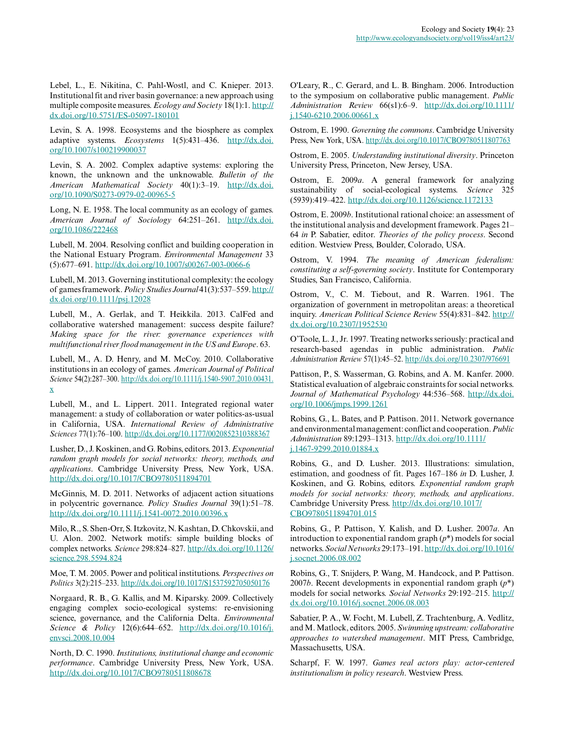Lebel, L., E. Nikitina, C. Pahl-Wostl, and C. Knieper. 2013. Institutional fit and river basin governance: a new approach using multiple composite measures. *Ecology and Society* 18(1):1. [http://](http://dx.doi.org/10.5751%2FES-05097-180101) [dx.doi.org/10.5751/ES-05097-180101](http://dx.doi.org/10.5751%2FES-05097-180101)

Levin, S. A. 1998. Ecosystems and the biosphere as complex adaptive systems. *Ecosystems* 1(5):431–436. [http://dx.doi.](http://dx.doi.org/10.1007%2Fs100219900037) [org/10.1007/s100219900037](http://dx.doi.org/10.1007%2Fs100219900037) 

Levin, S. A. 2002. Complex adaptive systems: exploring the known, the unknown and the unknowable. *Bulletin of the American Mathematical Society* 40(1):3–19. [http://dx.doi.](http://dx.doi.org/10.1090%2FS0273-0979-02-00965-5) [org/10.1090/S0273-0979-02-00965-5](http://dx.doi.org/10.1090%2FS0273-0979-02-00965-5)

Long, N. E. 1958. The local community as an ecology of games. *American Journal of Sociology* 64:251–261. [http://dx.doi.](http://dx.doi.org/10.1086%2F222468) [org/10.1086/222468](http://dx.doi.org/10.1086%2F222468)

Lubell, M. 2004. Resolving conflict and building cooperation in the National Estuary Program. *Environmental Management* 33 (5):677–691. [http://dx.doi.org/10.1007/s00267-003-0066-6](http://dx.doi.org/10.1007%2Fs00267-003-0066-6)

Lubell, M. 2013. Governing institutional complexity: the ecology of games framework. *Policy Studies Journal* 41(3):537–559. [http://](http://dx.doi.org/10.1111%2Fpsj.12028) [dx.doi.org/10.1111/psj.12028](http://dx.doi.org/10.1111%2Fpsj.12028) 

Lubell, M., A. Gerlak, and T. Heikkila. 2013. CalFed and collaborative watershed management: success despite failure? *Making space for the river: governance experiences with multifunctional river flood management in the US and Europe*. 63.

Lubell, M., A. D. Henry, and M. McCoy. 2010. Collaborative institutions in an ecology of games. *American Journal of Political Science* 54(2):287–300. [http://dx.doi.org/10.1111/j.1540-5907.2010.00431.](http://dx.doi.org/10.1111%2Fj.1540-5907.2010.00431.x) [x](http://dx.doi.org/10.1111%2Fj.1540-5907.2010.00431.x)

Lubell, M., and L. Lippert. 2011. Integrated regional water management: a study of collaboration or water politics-as-usual in California, USA. *International Review of Administrative Sciences* 77(1):76–100. [http://dx.doi.org/10.1177/0020852310388367](http://dx.doi.org/10.1177%2F0020852310388367) 

Lusher, D., J. Koskinen, and G. Robins, editors. 2013. *Exponential random graph models for social networks: theory, methods, and applications*. Cambridge University Press, New York, USA. [http://dx.doi.org/10.1017/CBO9780511894701](http://dx.doi.org/10.1017%2FCBO9780511894701)

McGinnis, M. D. 2011. Networks of adjacent action situations in polycentric governance. *Policy Studies Journal* 39(1):51–78. [http://dx.doi.org/10.1111/j.1541-0072.2010.00396.x](http://dx.doi.org/10.1111%2Fj.1541-0072.2010.00396.x) 

Milo, R., S. Shen-Orr, S. Itzkovitz, N. Kashtan, D. Chkovskii, and U. Alon. 2002. Network motifs: simple building blocks of complex networks. *Science* 298:824–827. [http://dx.doi.org/10.1126/](http://dx.doi.org/10.1126%2Fscience.298.5594.824) [science.298.5594.824](http://dx.doi.org/10.1126%2Fscience.298.5594.824)

Moe, T. M. 2005. Power and political institutions. *Perspectives on Politics* 3(2):215–233. [http://dx.doi.org/10.1017/S1537592705050176](http://dx.doi.org/10.1017%2FS1537592705050176) 

Norgaard, R. B., G. Kallis, and M. Kiparsky. 2009. Collectively engaging complex socio-ecological systems: re-envisioning science, governance, and the California Delta. *Environmental Science & Policy* 12(6):644–652. [http://dx.doi.org/10.1016/j.](http://dx.doi.org/10.1016%2Fj.envsci.2008.10.004) [envsci.2008.10.004](http://dx.doi.org/10.1016%2Fj.envsci.2008.10.004) 

North, D. C. 1990. *Institutions, institutional change and economic performance*. Cambridge University Press, New York, USA. [http://dx.doi.org/10.1017/CBO9780511808678](http://dx.doi.org/10.1017%2FCBO9780511808678)

O'Leary, R., C. Gerard, and L. B. Bingham. 2006. Introduction to the symposium on collaborative public management. *Public Administration Review* 66(s1):6–9. [http://dx.doi.org/10.1111/](http://dx.doi.org/10.1111%2Fj.1540-6210.2006.00661.x) [j.1540-6210.2006.00661.x](http://dx.doi.org/10.1111%2Fj.1540-6210.2006.00661.x)

Ostrom, E. 1990. *Governing the commons*. Cambridge University Press, New York, USA. [http://dx.doi.org/10.1017/CBO9780511807763](http://dx.doi.org/10.1017%2FCBO9780511807763) 

Ostrom, E. 2005. *Understanding institutional diversity*. Princeton University Press, Princeton, New Jersey, USA.

Ostrom, E. 2009*a*. A general framework for analyzing sustainability of social-ecological systems. *Science* 325 (5939):419–422. [http://dx.doi.org/10.1126/science.1172133](http://dx.doi.org/10.1126%2Fscience.1172133)

Ostrom, E. 2009*b*. Institutional rational choice: an assessment of the institutional analysis and development framework. Pages 21– 64 *in* P. Sabatier, editor. *Theories of the policy process*. Second edition. Westview Press, Boulder, Colorado, USA.

Ostrom, V. 1994. *The meaning of American federalism: constituting a self-governing society*. Institute for Contemporary Studies, San Francisco, California.

Ostrom, V., C. M. Tiebout, and R. Warren. 1961. The organization of government in metropolitan areas: a theoretical inquiry. *American Political Science Review* 55(4):831–842. [http://](http://dx.doi.org/10.2307%2F1952530) [dx.doi.org/10.2307/1952530](http://dx.doi.org/10.2307%2F1952530)

O'Toole, L. J., Jr. 1997. Treating networks seriously: practical and research-based agendas in public administration. *Public Administration Review* 57(1):45–52. [http://dx.doi.org/10.2307/976691](http://dx.doi.org/10.2307%2F976691) 

Pattison, P., S. Wasserman, G. Robins, and A. M. Kanfer. 2000. Statistical evaluation of algebraic constraints for social networks. *Journal of Mathematical Psychology* 44:536–568. [http://dx.doi.](http://dx.doi.org/10.1006%2Fjmps.1999.1261) [org/10.1006/jmps.1999.1261](http://dx.doi.org/10.1006%2Fjmps.1999.1261) 

Robins, G., L. Bates, and P. Pattison. 2011. Network governance and environmental management: conflict and cooperation. *Public Administration* 89:1293–1313. [http://dx.doi.org/10.1111/](http://dx.doi.org/10.1111%2Fj.1467-9299.2010.01884.x) [j.1467-9299.2010.01884.x](http://dx.doi.org/10.1111%2Fj.1467-9299.2010.01884.x)

Robins, G., and D. Lusher. 2013. Illustrations: simulation, estimation, and goodness of fit. Pages 167–186 *in* D. Lusher, J. Koskinen, and G. Robins, editors. *Exponential random graph models for social networks: theory, methods, and applications*. Cambridge University Press. [http://dx.doi.org/10.1017/](http://dx.doi.org/10.1017%2FCBO9780511894701.015) [CBO9780511894701.015](http://dx.doi.org/10.1017%2FCBO9780511894701.015) 

Robins, G., P. Pattison, Y. Kalish, and D. Lusher. 2007*a*. An introduction to exponential random graph (*p*\*) models for social networks. *Social Networks* 29:173–191. [http://dx.doi.org/10.1016/](http://dx.doi.org/10.1016%2Fj.socnet.2006.08.002) [j.socnet.2006.08.002](http://dx.doi.org/10.1016%2Fj.socnet.2006.08.002) 

Robins, G., T. Snijders, P. Wang, M. Handcock, and P. Pattison. 2007*b*. Recent developments in exponential random graph (*p*\*) models for social networks. *Social Networks* 29:192–215. [http://](http://dx.doi.org/10.1016%2Fj.socnet.2006.08.003) [dx.doi.org/10.1016/j.socnet.2006.08.003](http://dx.doi.org/10.1016%2Fj.socnet.2006.08.003) 

Sabatier, P. A., W. Focht, M. Lubell, Z. Trachtenburg, A. Vedlitz, and M. Matlock, editors. 2005. *Swimming upstream: collaborative approaches to watershed management*. MIT Press, Cambridge, Massachusetts, USA.

Scharpf, F. W. 1997. *Games real actors play: actor-centered institutionalism in policy research*. Westview Press.